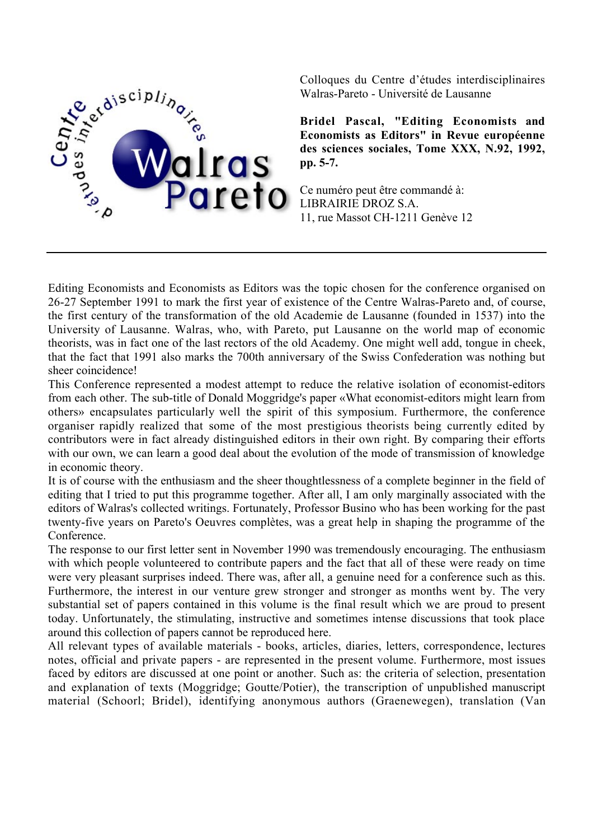

Colloques du Centre d'études interdisciplinaires Walras-Pareto - Université de Lausanne

**Bridel Pascal, "Editing Economists and Economists as Editors" in Revue européenne des sciences sociales, Tome XXX, N.92, 1992, pp. 5-7.**

Ce numéro peut être commandé à: LIBRAIRIE DROZ S.A. 11, rue Massot CH-1211 Genève 12

Editing Economists and Economists as Editors was the topic chosen for the conference organised on 26-27 September 1991 to mark the first year of existence of the Centre Walras-Pareto and, of course, the first century of the transformation of the old Academie de Lausanne (founded in 1537) into the University of Lausanne. Walras, who, with Pareto, put Lausanne on the world map of economic theorists, was in fact one of the last rectors of the old Academy. One might well add, tongue in cheek, that the fact that 1991 also marks the 700th anniversary of the Swiss Confederation was nothing but sheer coincidence!

This Conference represented a modest attempt to reduce the relative isolation of economist-editors from each other. The sub-title of Donald Moggridge's paper «What economist-editors might learn from others» encapsulates particularly well the spirit of this symposium. Furthermore, the conference organiser rapidly realized that some of the most prestigious theorists being currently edited by contributors were in fact already distinguished editors in their own right. By comparing their efforts with our own, we can learn a good deal about the evolution of the mode of transmission of knowledge in economic theory.

It is of course with the enthusiasm and the sheer thoughtlessness of a complete beginner in the field of editing that I tried to put this programme together. After all, I am only marginally associated with the editors of Walras's collected writings. Fortunately, Professor Busino who has been working for the past twenty-five years on Pareto's Oeuvres complètes, was a great help in shaping the programme of the Conference.

The response to our first letter sent in November 1990 was tremendously encouraging. The enthusiasm with which people volunteered to contribute papers and the fact that all of these were ready on time were very pleasant surprises indeed. There was, after all, a genuine need for a conference such as this. Furthermore, the interest in our venture grew stronger and stronger as months went by. The very substantial set of papers contained in this volume is the final result which we are proud to present today. Unfortunately, the stimulating, instructive and sometimes intense discussions that took place around this collection of papers cannot be reproduced here.

All relevant types of available materials - books, articles, diaries, letters, correspondence, lectures notes, official and private papers - are represented in the present volume. Furthermore, most issues faced by editors are discussed at one point or another. Such as: the criteria of selection, presentation and explanation of texts (Moggridge; Goutte/Potier), the transcription of unpublished manuscript material (Schoorl; Bridel), identifying anonymous authors (Graenewegen), translation (Van